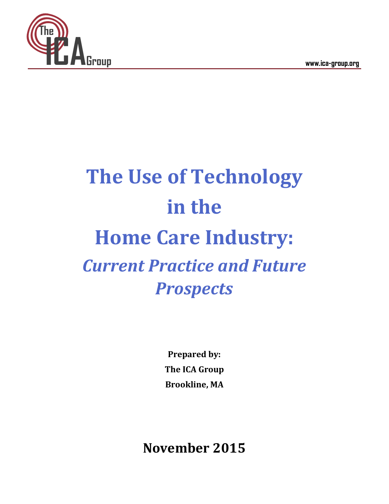**Group www.ica-group.org**



# **The Use of Technology in the Home Care Industry:** *Current Practice and Future Prospects*

**Prepared by: The ICA Group Brookline, MA**

**November 2015**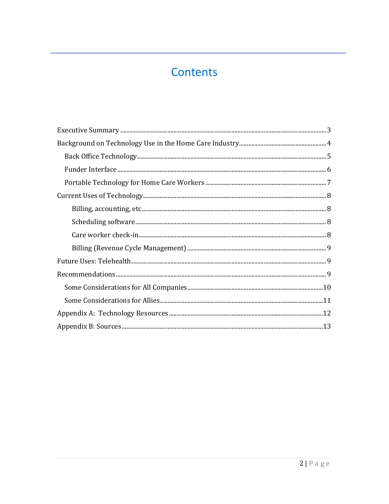## Contents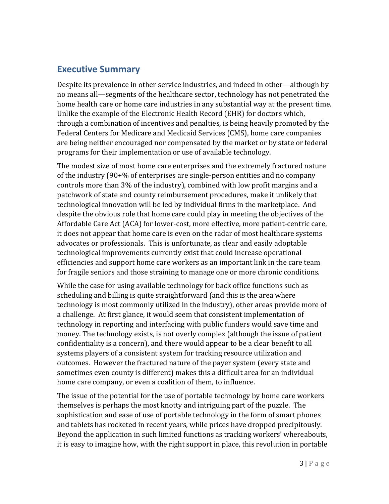## <span id="page-2-0"></span>**Executive Summary**

Despite its prevalence in other service industries, and indeed in other—although by no means all—segments of the healthcare sector, technology has not penetrated the home health care or home care industries in any substantial way at the present time. Unlike the example of the Electronic Health Record (EHR) for doctors which, through a combination of incentives and penalties, is being heavily promoted by the Federal Centers for Medicare and Medicaid Services (CMS), home care companies are being neither encouraged nor compensated by the market or by state or federal programs for their implementation or use of available technology.

The modest size of most home care enterprises and the extremely fractured nature of the industry (90+% of enterprises are single-person entities and no company controls more than 3% of the industry), combined with low profit margins and a patchwork of state and county reimbursement procedures, make it unlikely that technological innovation will be led by individual firms in the marketplace. And despite the obvious role that home care could play in meeting the objectives of the Affordable Care Act (ACA) for lower-cost, more effective, more patient-centric care, it does not appear that home care is even on the radar of most healthcare systems advocates or professionals. This is unfortunate, as clear and easily adoptable technological improvements currently exist that could increase operational efficiencies and support home care workers as an important link in the care team for fragile seniors and those straining to manage one or more chronic conditions.

While the case for using available technology for back office functions such as scheduling and billing is quite straightforward (and this is the area where technology is most commonly utilized in the industry), other areas provide more of a challenge. At first glance, it would seem that consistent implementation of technology in reporting and interfacing with public funders would save time and money. The technology exists, is not overly complex (although the issue of patient confidentiality is a concern), and there would appear to be a clear benefit to all systems players of a consistent system for tracking resource utilization and outcomes. However the fractured nature of the payer system (every state and sometimes even county is different) makes this a difficult area for an individual home care company, or even a coalition of them, to influence.

The issue of the potential for the use of portable technology by home care workers themselves is perhaps the most knotty and intriguing part of the puzzle. The sophistication and ease of use of portable technology in the form of smart phones and tablets has rocketed in recent years, while prices have dropped precipitously. Beyond the application in such limited functions as tracking workers' whereabouts, it is easy to imagine how, with the right support in place, this revolution in portable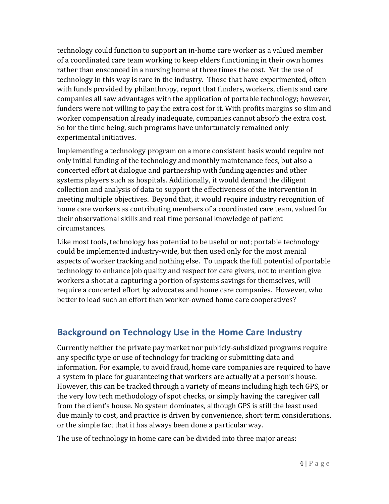technology could function to support an in-home care worker as a valued member of a coordinated care team working to keep elders functioning in their own homes rather than ensconced in a nursing home at three times the cost. Yet the use of technology in this way is rare in the industry. Those that have experimented, often with funds provided by philanthropy, report that funders, workers, clients and care companies all saw advantages with the application of portable technology; however, funders were not willing to pay the extra cost for it. With profits margins so slim and worker compensation already inadequate, companies cannot absorb the extra cost. So for the time being, such programs have unfortunately remained only experimental initiatives.

Implementing a technology program on a more consistent basis would require not only initial funding of the technology and monthly maintenance fees, but also a concerted effort at dialogue and partnership with funding agencies and other systems players such as hospitals. Additionally, it would demand the diligent collection and analysis of data to support the effectiveness of the intervention in meeting multiple objectives. Beyond that, it would require industry recognition of home care workers as contributing members of a coordinated care team, valued for their observational skills and real time personal knowledge of patient circumstances.

Like most tools, technology has potential to be useful or not; portable technology could be implemented industry-wide, but then used only for the most menial aspects of worker tracking and nothing else. To unpack the full potential of portable technology to enhance job quality and respect for care givers, not to mention give workers a shot at a capturing a portion of systems savings for themselves, will require a concerted effort by advocates and home care companies. However, who better to lead such an effort than worker-owned home care cooperatives?

## <span id="page-3-0"></span>**Background on Technology Use in the Home Care Industry**

Currently neither the private pay market nor publicly-subsidized programs require any specific type or use of technology for tracking or submitting data and information. For example, to avoid fraud, home care companies are required to have a system in place for guaranteeing that workers are actually at a person's house. However, this can be tracked through a variety of means including high tech GPS, or the very low tech methodology of spot checks, or simply having the caregiver call from the client's house. No system dominates, although GPS is still the least used due mainly to cost, and practice is driven by convenience, short term considerations, or the simple fact that it has always been done a particular way.

The use of technology in home care can be divided into three major areas: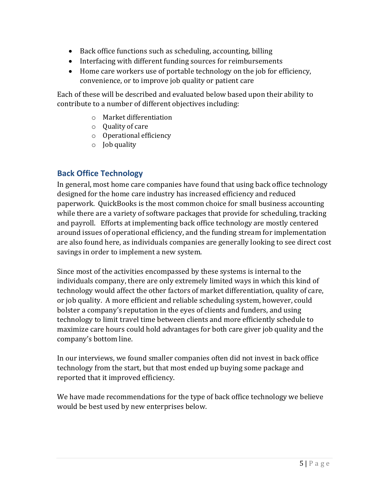- Back office functions such as scheduling, accounting, billing
- Interfacing with different funding sources for reimbursements
- Home care workers use of portable technology on the job for efficiency, convenience, or to improve job quality or patient care

Each of these will be described and evaluated below based upon their ability to contribute to a number of different objectives including:

- o Market differentiation
- o Quality of care
- o Operational efficiency
- o Job quality

#### <span id="page-4-0"></span>**Back Office Technology**

In general, most home care companies have found that using back office technology designed for the home care industry has increased efficiency and reduced paperwork. QuickBooks is the most common choice for small business accounting while there are a variety of software packages that provide for scheduling, tracking and payroll. Efforts at implementing back office technology are mostly centered around issues of operational efficiency, and the funding stream for implementation are also found here, as individuals companies are generally looking to see direct cost savings in order to implement a new system.

Since most of the activities encompassed by these systems is internal to the individuals company, there are only extremely limited ways in which this kind of technology would affect the other factors of market differentiation, quality of care, or job quality. A more efficient and reliable scheduling system, however, could bolster a company's reputation in the eyes of clients and funders, and using technology to limit travel time between clients and more efficiently schedule to maximize care hours could hold advantages for both care giver job quality and the company's bottom line.

In our interviews, we found smaller companies often did not invest in back office technology from the start, but that most ended up buying some package and reported that it improved efficiency.

We have made recommendations for the type of back office technology we believe would be best used by new enterprises below.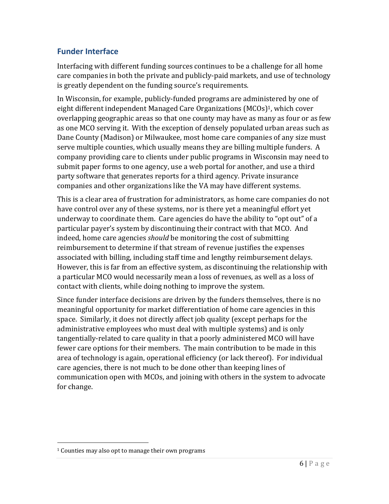#### <span id="page-5-0"></span>**Funder Interface**

Interfacing with different funding sources continues to be a challenge for all home care companies in both the private and publicly-paid markets, and use of technology is greatly dependent on the funding source's requirements.

In Wisconsin, for example, publicly-funded programs are administered by one of eight different independent Managed Care Organizations (MCOs)1, which cover overlapping geographic areas so that one county may have as many as four or as few as one MCO serving it. With the exception of densely populated urban areas such as Dane County (Madison) or Milwaukee, most home care companies of any size must serve multiple counties, which usually means they are billing multiple funders. A company providing care to clients under public programs in Wisconsin may need to submit paper forms to one agency, use a web portal for another, and use a third party software that generates reports for a third agency. Private insurance companies and other organizations like the VA may have different systems.

This is a clear area of frustration for administrators, as home care companies do not have control over any of these systems, nor is there yet a meaningful effort yet underway to coordinate them. Care agencies do have the ability to "opt out" of a particular payer's system by discontinuing their contract with that MCO. And indeed, home care agencies *should* be monitoring the cost of submitting reimbursement to determine if that stream of revenue justifies the expenses associated with billing, including staff time and lengthy reimbursement delays. However, this is far from an effective system, as discontinuing the relationship with a particular MCO would necessarily mean a loss of revenues, as well as a loss of contact with clients, while doing nothing to improve the system.

Since funder interface decisions are driven by the funders themselves, there is no meaningful opportunity for market differentiation of home care agencies in this space. Similarly, it does not directly affect job quality (except perhaps for the administrative employees who must deal with multiple systems) and is only tangentially-related to care quality in that a poorly administered MCO will have fewer care options for their members. The main contribution to be made in this area of technology is again, operational efficiency (or lack thereof). For individual care agencies, there is not much to be done other than keeping lines of communication open with MCOs, and joining with others in the system to advocate for change.

 $\overline{a}$ 

<sup>1</sup> Counties may also opt to manage their own programs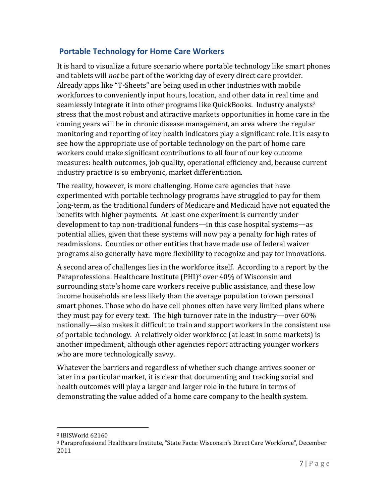#### <span id="page-6-0"></span>**Portable Technology for Home Care Workers**

It is hard to visualize a future scenario where portable technology like smart phones and tablets will *not* be part of the working day of every direct care provider. Already apps like "T-Sheets" are being used in other industries with mobile workforces to conveniently input hours, location, and other data in real time and seamlessly integrate it into other programs like QuickBooks. Industry analysts<sup>2</sup> stress that the most robust and attractive markets opportunities in home care in the coming years will be in chronic disease management, an area where the regular monitoring and reporting of key health indicators play a significant role. It is easy to see how the appropriate use of portable technology on the part of home care workers could make significant contributions to all four of our key outcome measures: health outcomes, job quality, operational efficiency and, because current industry practice is so embryonic, market differentiation.

The reality, however, is more challenging. Home care agencies that have experimented with portable technology programs have struggled to pay for them long-term, as the traditional funders of Medicare and Medicaid have not equated the benefits with higher payments. At least one experiment is currently under development to tap non-traditional funders—in this case hospital systems—as potential allies, given that these systems will now pay a penalty for high rates of readmissions. Counties or other entities that have made use of federal waiver programs also generally have more flexibility to recognize and pay for innovations.

A second area of challenges lies in the workforce itself. According to a report by the Paraprofessional Healthcare Institute (PHI)<sup>3</sup> over 40% of Wisconsin and surrounding state's home care workers receive public assistance, and these low income households are less likely than the average population to own personal smart phones. Those who do have cell phones often have very limited plans where they must pay for every text. The high turnover rate in the industry—over 60% nationally—also makes it difficult to train and support workers in the consistent use of portable technology. A relatively older workforce (at least in some markets) is another impediment, although other agencies report attracting younger workers who are more technologically savvy.

Whatever the barriers and regardless of whether such change arrives sooner or later in a particular market, it is clear that documenting and tracking social and health outcomes will play a larger and larger role in the future in terms of demonstrating the value added of a home care company to the health system.

<sup>2</sup> IBISWorld 62160

<sup>3</sup> Paraprofessional Healthcare Institute, "State Facts: Wisconsin's Direct Care Workforce", December 2011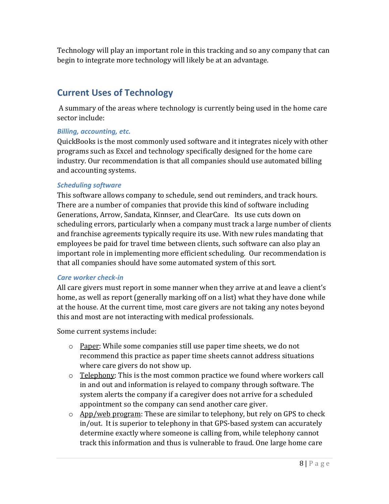Technology will play an important role in this tracking and so any company that can begin to integrate more technology will likely be at an advantage.

## <span id="page-7-0"></span>**Current Uses of Technology**

A summary of the areas where technology is currently being used in the home care sector include:

#### <span id="page-7-1"></span>*Billing, accounting, etc.*

QuickBooks is the most commonly used software and it integrates nicely with other programs such as Excel and technology specifically designed for the home care industry. Our recommendation is that all companies should use automated billing and accounting systems.

#### <span id="page-7-2"></span>*Scheduling software*

This software allows company to schedule, send out reminders, and track hours. There are a number of companies that provide this kind of software including Generations, Arrow, Sandata, Kinnser, and ClearCare. Its use cuts down on scheduling errors, particularly when a company must track a large number of clients and franchise agreements typically require its use. With new rules mandating that employees be paid for travel time between clients, such software can also play an important role in implementing more efficient scheduling. Our recommendation is that all companies should have some automated system of this sort.

#### <span id="page-7-3"></span>*Care worker check-in*

All care givers must report in some manner when they arrive at and leave a client's home, as well as report (generally marking off on a list) what they have done while at the house. At the current time, most care givers are not taking any notes beyond this and most are not interacting with medical professionals.

Some current systems include:

- $\circ$  Paper: While some companies still use paper time sheets, we do not recommend this practice as paper time sheets cannot address situations where care givers do not show up.
- $\circ$  Telephony: This is the most common practice we found where workers call in and out and information is relayed to company through software. The system alerts the company if a caregiver does not arrive for a scheduled appointment so the company can send another care giver.
- $\circ$  App/web program: These are similar to telephony, but rely on GPS to check in/out. It is superior to telephony in that GPS-based system can accurately determine exactly where someone is calling from, while telephony cannot track this information and thus is vulnerable to fraud. One large home care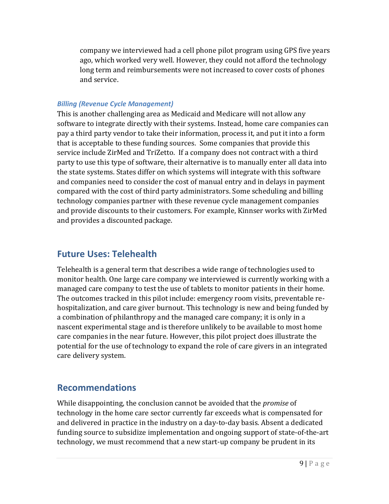company we interviewed had a cell phone pilot program using GPS five years ago, which worked very well. However, they could not afford the technology long term and reimbursements were not increased to cover costs of phones and service.

#### <span id="page-8-0"></span>*Billing (Revenue Cycle Management)*

This is another challenging area as Medicaid and Medicare will not allow any software to integrate directly with their systems. Instead, home care companies can pay a third party vendor to take their information, process it, and put it into a form that is acceptable to these funding sources. Some companies that provide this service include ZirMed and TriZetto. If a company does not contract with a third party to use this type of software, their alternative is to manually enter all data into the state systems. States differ on which systems will integrate with this software and companies need to consider the cost of manual entry and in delays in payment compared with the cost of third party administrators. Some scheduling and billing technology companies partner with these revenue cycle management companies and provide discounts to their customers. For example, Kinnser works with ZirMed and provides a discounted package.

## <span id="page-8-1"></span>**Future Uses: Telehealth**

Telehealth is a general term that describes a wide range of technologies used to monitor health. One large care company we interviewed is currently working with a managed care company to test the use of tablets to monitor patients in their home. The outcomes tracked in this pilot include: emergency room visits, preventable rehospitalization, and care giver burnout. This technology is new and being funded by a combination of philanthropy and the managed care company; it is only in a nascent experimental stage and is therefore unlikely to be available to most home care companies in the near future. However, this pilot project does illustrate the potential for the use of technology to expand the role of care givers in an integrated care delivery system.

## <span id="page-8-2"></span>**Recommendations**

While disappointing, the conclusion cannot be avoided that the *promise* of technology in the home care sector currently far exceeds what is compensated for and delivered in practice in the industry on a day-to-day basis. Absent a dedicated funding source to subsidize implementation and ongoing support of state-of-the-art technology, we must recommend that a new start-up company be prudent in its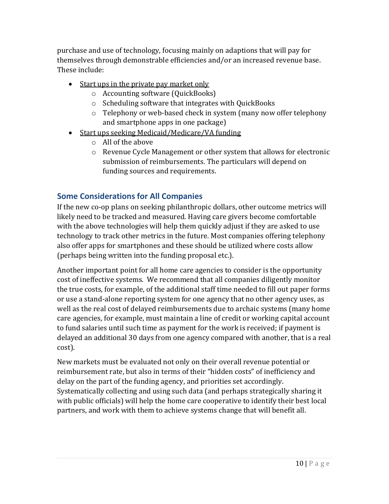purchase and use of technology, focusing mainly on adaptions that will pay for themselves through demonstrable efficiencies and/or an increased revenue base. These include:

- Start ups in the private pay market only
	- o Accounting software (QuickBooks)
	- o Scheduling software that integrates with QuickBooks
	- o Telephony or web-based check in system (many now offer telephony and smartphone apps in one package)
- Start ups seeking Medicaid/Medicare/VA funding
	- o All of the above
	- o Revenue Cycle Management or other system that allows for electronic submission of reimbursements. The particulars will depend on funding sources and requirements.

## <span id="page-9-0"></span>**Some Considerations for All Companies**

If the new co-op plans on seeking philanthropic dollars, other outcome metrics will likely need to be tracked and measured. Having care givers become comfortable with the above technologies will help them quickly adjust if they are asked to use technology to track other metrics in the future. Most companies offering telephony also offer apps for smartphones and these should be utilized where costs allow (perhaps being written into the funding proposal etc.).

Another important point for all home care agencies to consider is the opportunity cost of ineffective systems. We recommend that all companies diligently monitor the true costs, for example, of the additional staff time needed to fill out paper forms or use a stand-alone reporting system for one agency that no other agency uses, as well as the real cost of delayed reimbursements due to archaic systems (many home care agencies, for example, must maintain a line of credit or working capital account to fund salaries until such time as payment for the work is received; if payment is delayed an additional 30 days from one agency compared with another, that is a real cost).

New markets must be evaluated not only on their overall revenue potential or reimbursement rate, but also in terms of their "hidden costs" of inefficiency and delay on the part of the funding agency, and priorities set accordingly. Systematically collecting and using such data (and perhaps strategically sharing it with public officials) will help the home care cooperative to identify their best local partners, and work with them to achieve systems change that will benefit all.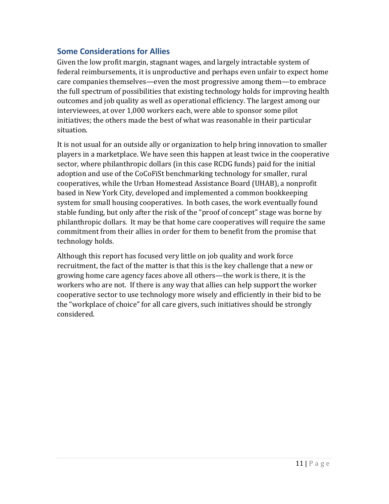#### <span id="page-10-0"></span>**Some Considerations for Allies**

Given the low profit margin, stagnant wages, and largely intractable system of federal reimbursements, it is unproductive and perhaps even unfair to expect home care companies themselves—even the most progressive among them—to embrace the full spectrum of possibilities that existing technology holds for improving health outcomes and job quality as well as operational efficiency. The largest among our interviewees, at over 1,000 workers each, were able to sponsor some pilot initiatives; the others made the best of what was reasonable in their particular situation.

It is not usual for an outside ally or organization to help bring innovation to smaller players in a marketplace. We have seen this happen at least twice in the cooperative sector, where philanthropic dollars (in this case RCDG funds) paid for the initial adoption and use of the CoCoFiSt benchmarking technology for smaller, rural cooperatives, while the Urban Homestead Assistance Board (UHAB), a nonprofit based in New York City, developed and implemented a common bookkeeping system for small housing cooperatives. In both cases, the work eventually found stable funding, but only after the risk of the "proof of concept" stage was borne by philanthropic dollars. It may be that home care cooperatives will require the same commitment from their allies in order for them to benefit from the promise that technology holds.

Although this report has focused very little on job quality and work force recruitment, the fact of the matter is that this is the key challenge that a new or growing home care agency faces above all others—the work is there, it is the workers who are not. If there is any way that allies can help support the worker cooperative sector to use technology more wisely and efficiently in their bid to be the "workplace of choice" for all care givers, such initiatives should be strongly considered.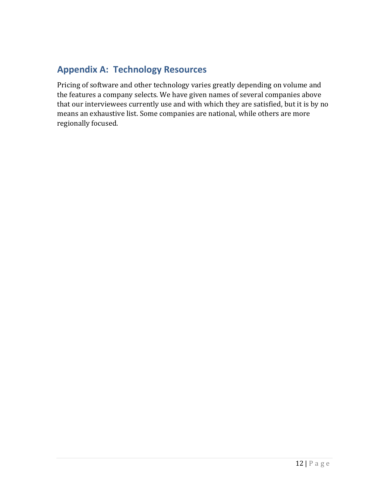## <span id="page-11-0"></span>**Appendix A: Technology Resources**

Pricing of software and other technology varies greatly depending on volume and the features a company selects. We have given names of several companies above that our interviewees currently use and with which they are satisfied, but it is by no means an exhaustive list. Some companies are national, while others are more regionally focused.